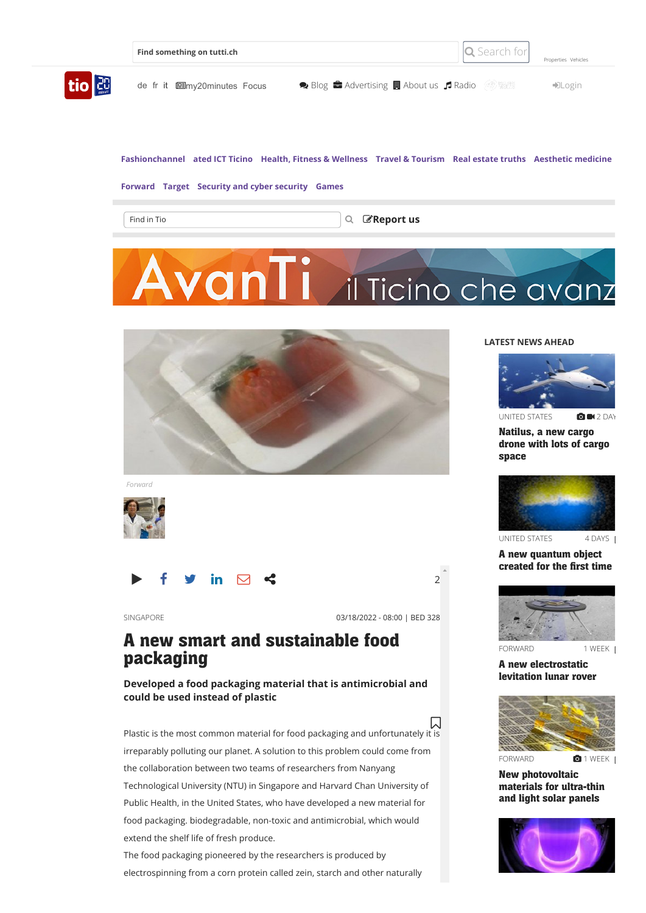|                     | Find something on tutti.ch      | Search for                                                 | Properties Vehicles     |
|---------------------|---------------------------------|------------------------------------------------------------|-------------------------|
| tio <sup>[20]</sup> | de fr it I I my20 minutes Focus | <i>- 0)</i> 담꽃!<br>● Blog ■ Advertising ■ About us ■ Radio | $\nightharpoonup$ Login |

**[Fashionchannel](https://www.tio.ch/newsblog/fashionchannel) [ated ICT Ticino](https://www.tio.ch/newsblog/ated-ict-ticino) [Health, Fitness & Wellness](https://www.tio.ch/newsblog/health-fitness-wellness) [Travel & Tourism](https://www.tio.ch/newsblog/viaggi-turismo) [Real estate truths](https://www.tio.ch/newsblog/verita-immobiliari) [Aesthetic medicine](https://www.tio.ch/newsblog/medicina-estetica)**

#### **[Forward](https://www.tio.ch/newsblog/avanti) [Target](https://www.tio.ch/newsblog/target) [Security and cyber security](https://www.tio.ch/newsblog/sicurezza-e-cyber-security) [Games](https://www.tio.ch/newsblog/games)**

 $\|$ tio $\|$ 

Find in Tio **[Report us](https://www.tio.ch/report?ref=https%3A%2F%2Fwww.tio.ch%2Fnewsblog%2Favanti%2F1571217%2Fbatteri-essere-imballaggio-imballaggi-nuovo) Report us** 

# ran il Ticino che avanz



*Forward*



in  $\triangledown$   $\triangle$  2

SINGAPORE 03/18/2022 - 08:00 | BED 328

## **A new smart and sustainable food packaging**

**Developed a food packaging material that is antimicrobial and could be used instead of plastic**

Plastic is the most common material for food packaging and unfortunately it is irreparably polluting our planet. A solution to this problem could come from the collaboration between two teams of researchers from Nanyang Technological University (NTU) in Singapore and Harvard Chan University of Public Health, in the United States, who have developed a new material for food packaging. biodegradable, non-toxic and antimicrobial, which would extend the shelf life of fresh produce.  $\Box$ 

The food packaging pioneered by the researchers is produced by electrospinning from a corn protein called zein, starch and other naturally

### **LATEST NEWS AHEAD**



[UNITED STATES](https://www.tio.ch/newsblog/avanti/1571213/aereo-trasporto-natilus-cargo-carico-drone-spazio) **OM** 2 DAY

**Natilus, a new cargo drone with lots of cargo space**



**A new quantum object created for the first time**



#### **A new [electrostatic](https://www.tio.ch/newsblog/avanti/1569751/un-nuovo-rover-lunare-a-levitazione-elettrostatica) levitation lunar rover**



**New [photovoltaic](https://www.tio.ch/newsblog/avanti/1569746/tmd-materiali-pannelli-efficienza-ultrasottili) materials for ultra-thin and light solar panels**